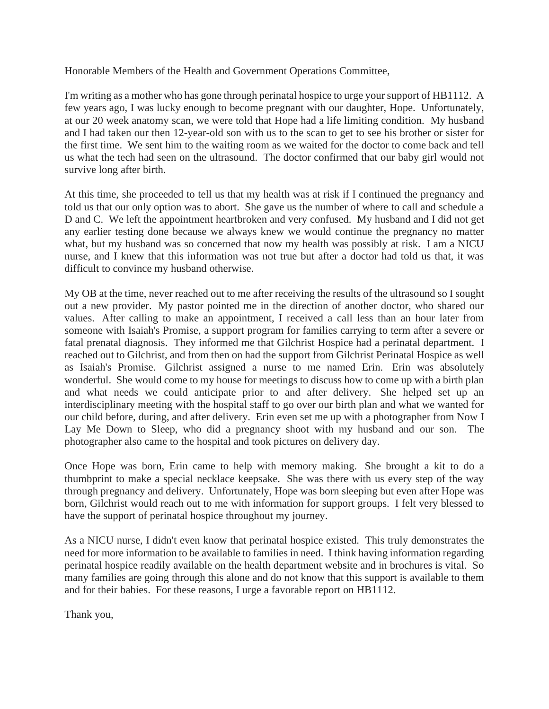Honorable Members of the Health and Government Operations Committee,

I'm writing as a mother who has gone through perinatal hospice to urge your support of HB1112. A few years ago, I was lucky enough to become pregnant with our daughter, Hope. Unfortunately, at our 20 week anatomy scan, we were told that Hope had a life limiting condition. My husband and I had taken our then 12-year-old son with us to the scan to get to see his brother or sister for the first time. We sent him to the waiting room as we waited for the doctor to come back and tell us what the tech had seen on the ultrasound. The doctor confirmed that our baby girl would not survive long after birth.

At this time, she proceeded to tell us that my health was at risk if I continued the pregnancy and told us that our only option was to abort. She gave us the number of where to call and schedule a D and C. We left the appointment heartbroken and very confused. My husband and I did not get any earlier testing done because we always knew we would continue the pregnancy no matter what, but my husband was so concerned that now my health was possibly at risk. I am a NICU nurse, and I knew that this information was not true but after a doctor had told us that, it was difficult to convince my husband otherwise.

My OB at the time, never reached out to me after receiving the results of the ultrasound so I sought out a new provider. My pastor pointed me in the direction of another doctor, who shared our values. After calling to make an appointment, I received a call less than an hour later from someone with Isaiah's Promise, a support program for families carrying to term after a severe or fatal prenatal diagnosis. They informed me that Gilchrist Hospice had a perinatal department. I reached out to Gilchrist, and from then on had the support from Gilchrist Perinatal Hospice as well as Isaiah's Promise. Gilchrist assigned a nurse to me named Erin. Erin was absolutely wonderful. She would come to my house for meetings to discuss how to come up with a birth plan and what needs we could anticipate prior to and after delivery. She helped set up an interdisciplinary meeting with the hospital staff to go over our birth plan and what we wanted for our child before, during, and after delivery. Erin even set me up with a photographer from Now I Lay Me Down to Sleep, who did a pregnancy shoot with my husband and our son. The photographer also came to the hospital and took pictures on delivery day.

Once Hope was born, Erin came to help with memory making. She brought a kit to do a thumbprint to make a special necklace keepsake. She was there with us every step of the way through pregnancy and delivery. Unfortunately, Hope was born sleeping but even after Hope was born, Gilchrist would reach out to me with information for support groups. I felt very blessed to have the support of perinatal hospice throughout my journey.

As a NICU nurse, I didn't even know that perinatal hospice existed. This truly demonstrates the need for more information to be available to families in need. I think having information regarding perinatal hospice readily available on the health department website and in brochures is vital. So many families are going through this alone and do not know that this support is available to them and for their babies. For these reasons, I urge a favorable report on HB1112.

Thank you,